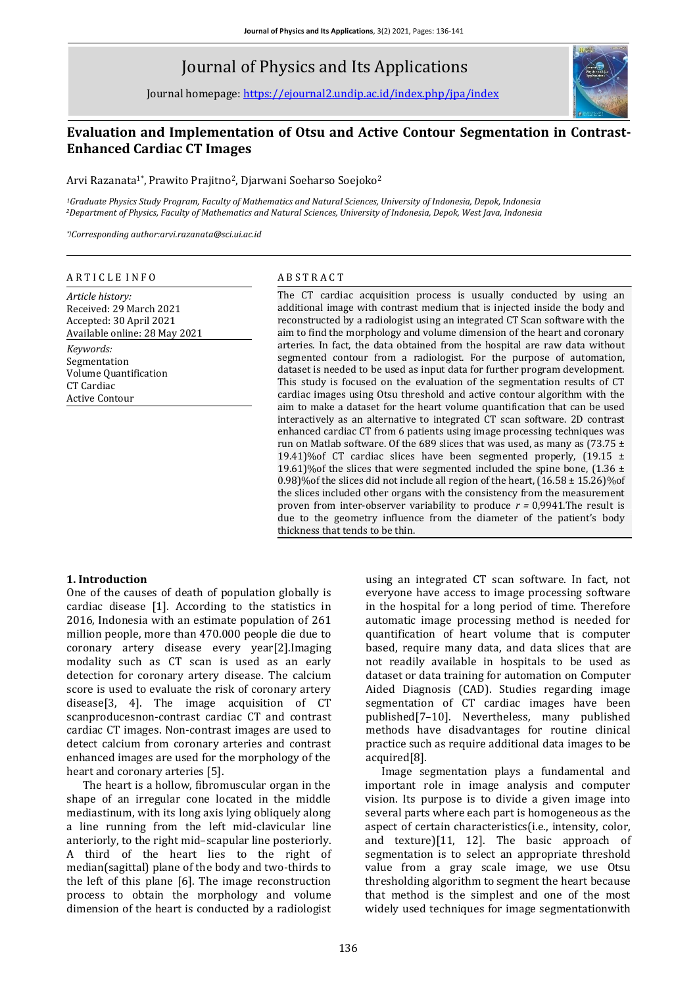# Journal of Physics and Its Applications

Journal homepage: <https://ejournal2.undip.ac.id/index.php/jpa/index>



## **Evaluation and Implementation of Otsu and Active Contour Segmentation in Contrast-Enhanced Cardiac CT Images**

Arvi Razanata1\*, Prawito Prajitno<sup>2</sup>, Djarwani Soeharso Soejoko<sup>2</sup>

*<sup>1</sup>Graduate Physics Study Program, Faculty of Mathematics and Natural Sciences, University of Indonesia, Depok, Indonesia <sup>2</sup>Department of Physics, Faculty of Mathematics and Natural Sciences, University of Indonesia, Depok, West Java, Indonesia*

*\*)Corresponding author:arvi.razanata@sci.ui.ac.id*

#### A R T I C L E I N F O

*Article history:* Received: 29 March 2021 Accepted: 30 April 2021 Available online: 28 May 2021 *Keywords:* Segmentation Volume Quantification CT Cardiac Active Contour

#### A B S T R A C T

The CT cardiac acquisition process is usually conducted by using an additional image with contrast medium that is injected inside the body and reconstructed by a radiologist using an integrated CT Scan software with the aim to find the morphology and volume dimension of the heart and coronary arteries. In fact, the data obtained from the hospital are raw data without segmented contour from a radiologist. For the purpose of automation, dataset is needed to be used as input data for further program development. This study is focused on the evaluation of the segmentation results of CT cardiac images using Otsu threshold and active contour algorithm with the aim to make a dataset for the heart volume quantification that can be used interactively as an alternative to integrated CT scan software. 2D contrast enhanced cardiac CT from 6 patients using image processing techniques was run on Matlab software. Of the 689 slices that was used, as many as  $(73.75 \pm 1)$ 19.41)%of CT cardiac slices have been segmented properly,  $(19.15 \pm 19.15)$ 19.61)% of the slices that were segmented included the spine bone,  $(1.36 \pm 1.36)$ 0.98)%of the slices did not include all region of the heart, (16.58 ± 15.26)%of the slices included other organs with the consistency from the measurement proven from inter-observer variability to produce *r =* 0,9941.The result is due to the geometry influence from the diameter of the patient's body thickness that tends to be thin.

#### **1. Introduction**

One of the causes of death of population globally is cardiac disease [1]. According to the statistics in 2016, Indonesia with an estimate population of 261 million people, more than 470.000 people die due to coronary artery disease every year[2].Imaging modality such as CT scan is used as an early detection for coronary artery disease. The calcium score is used to evaluate the risk of coronary artery disease[3, 4]. The image acquisition of CT scanproducesnon-contrast cardiac CT and contrast cardiac CT images. Non-contrast images are used to detect calcium from coronary arteries and contrast enhanced images are used for the morphology of the heart and coronary arteries [5].

The heart is a hollow, fibromuscular organ in the shape of an irregular cone located in the middle mediastinum, with its long axis lying obliquely along a line running from the left mid-clavicular line anteriorly, to the right mid–scapular line posteriorly. A third of the heart lies to the right of median(sagittal) plane of the body and two-thirds to the left of this plane [6]. The image reconstruction process to obtain the morphology and volume dimension of the heart is conducted by a radiologist

using an integrated CT scan software. In fact, not everyone have access to image processing software in the hospital for a long period of time. Therefore automatic image processing method is needed for quantification of heart volume that is computer based, require many data, and data slices that are not readily available in hospitals to be used as dataset or data training for automation on Computer Aided Diagnosis (CAD). Studies regarding image segmentation of CT cardiac images have been published[7–10]. Nevertheless, many published methods have disadvantages for routine clinical practice such as require additional data images to be acquired[8].

Image segmentation plays a fundamental and important role in image analysis and computer vision. Its purpose is to divide a given image into several parts where each part is homogeneous as the aspect of certain characteristics(i.e., intensity, color, and texture)[11, 12]. The basic approach of segmentation is to select an appropriate threshold value from a gray scale image, we use Otsu thresholding algorithm to segment the heart because that method is the simplest and one of the most widely used techniques for image segmentationwith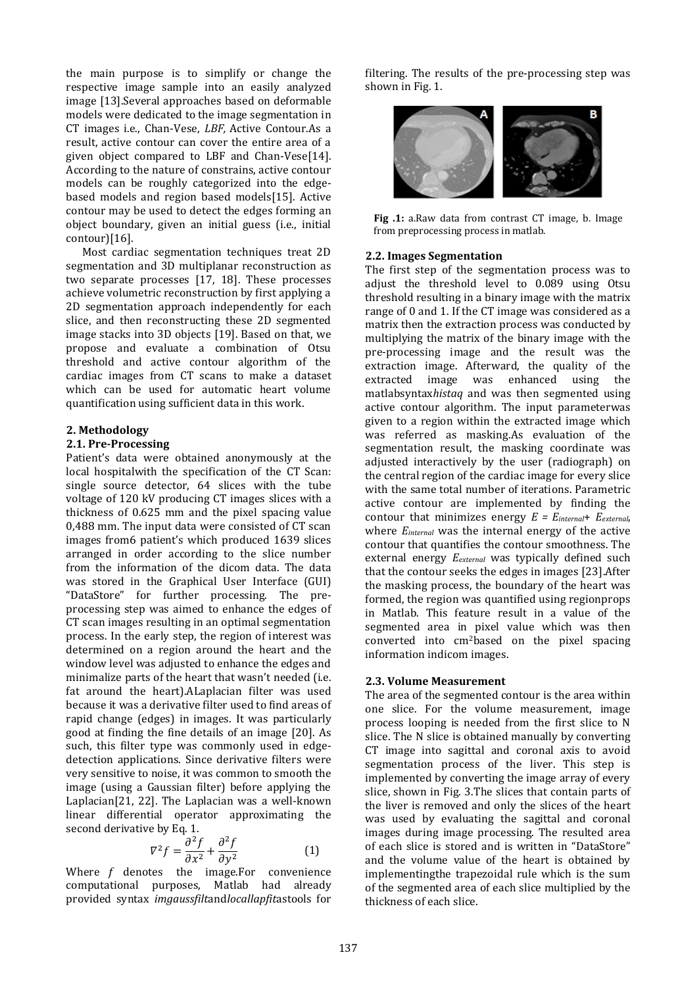the main purpose is to simplify or change the respective image sample into an easily analyzed image [13].Several approaches based on deformable models were dedicated to the image segmentation in CT images i.e., Chan-Vese, *LBF,* Active Contour.As a result, active contour can cover the entire area of a given object compared to LBF and Chan-Vese[14]. According to the nature of constrains, active contour models can be roughly categorized into the edgebased models and region based models[15]. Active contour may be used to detect the edges forming an object boundary, given an initial guess (i.e., initial contour)[16].

Most cardiac segmentation techniques treat 2D segmentation and 3D multiplanar reconstruction as two separate processes [17, 18]. These processes achieve volumetric reconstruction by first applying a 2D segmentation approach independently for each slice, and then reconstructing these 2D segmented image stacks into 3D objects [19]. Based on that, we propose and evaluate a combination of Otsu threshold and active contour algorithm of the cardiac images from CT scans to make a dataset which can be used for automatic heart volume quantification using sufficient data in this work.

## **2. Methodology**

#### **2.1. Pre-Processing**

Patient's data were obtained anonymously at the local hospitalwith the specification of the CT Scan: single source detector, 64 slices with the tube voltage of 120 kV producing CT images slices with a thickness of 0.625 mm and the pixel spacing value 0,488 mm. The input data were consisted of CT scan images from6 patient's which produced 1639 slices arranged in order according to the slice number from the information of the dicom data. The data was stored in the Graphical User Interface (GUI) "DataStore" for further processing. The preprocessing step was aimed to enhance the edges of CT scan images resulting in an optimal segmentation process. In the early step, the region of interest was determined on a region around the heart and the window level was adjusted to enhance the edges and minimalize parts of the heart that wasn't needed (i.e. fat around the heart).ALaplacian filter was used because it was a derivative filter used to find areas of rapid change (edges) in images. It was particularly good at finding the fine details of an image [20]. As such, this filter type was commonly used in edgedetection applications. Since derivative filters were very sensitive to noise, it was common to smooth the image (using a Gaussian filter) before applying the Laplacian[21, 22]. The Laplacian was a well-known linear differential operator approximating the second derivative by Eq. 1.

$$
\nabla^2 f = \frac{\partial^2 f}{\partial x^2} + \frac{\partial^2 f}{\partial y^2}
$$
 (1)

Where  $f$  denotes the image. For convenience computational purposes, Matlab had already provided syntax *imgaussfilt*and*locallapfit*astools for filtering. The results of the pre-processing step was shown in Fig. 1.



**Fig .1:** a.Raw data from contrast CT image, b. Image from preprocessing process in matlab.

#### **2.2. Images Segmentation**

The first step of the segmentation process was to adjust the threshold level to 0.089 using Otsu threshold resulting in a binary image with the matrix range of 0 and 1. If the CT image was considered as a matrix then the extraction process was conducted by multiplying the matrix of the binary image with the pre-processing image and the result was the extraction image. Afterward, the quality of the extracted image was enhanced using the matlabsyntax*histaq* and was then segmented using active contour algorithm. The input parameterwas given to a region within the extracted image which was referred as masking.As evaluation of the segmentation result, the masking coordinate was adjusted interactively by the user (radiograph) on the central region of the cardiac image for every slice with the same total number of iterations. Parametric active contour are implemented by finding the contour that minimizes energy *E = Einternal*+ *Eexternal*, where *Einternal* was the internal energy of the active contour that quantifies the contour smoothness. The external energy *Eexternal* was typically defined such that the contour seeks the edges in images [23].After the masking process, the boundary of the heart was formed, the region was quantified using regionprops in Matlab. This feature result in a value of the segmented area in pixel value which was then converted into cm2based on the pixel spacing information indicom images.

#### **2.3. Volume Measurement**

The area of the segmented contour is the area within one slice. For the volume measurement, image process looping is needed from the first slice to N slice. The N slice is obtained manually by converting CT image into sagittal and coronal axis to avoid segmentation process of the liver. This step is implemented by converting the image array of every slice, shown in Fig. 3.The slices that contain parts of the liver is removed and only the slices of the heart was used by evaluating the sagittal and coronal images during image processing. The resulted area of each slice is stored and is written in "DataStore" and the volume value of the heart is obtained by implementingthe trapezoidal rule which is the sum of the segmented area of each slice multiplied by the thickness of each slice.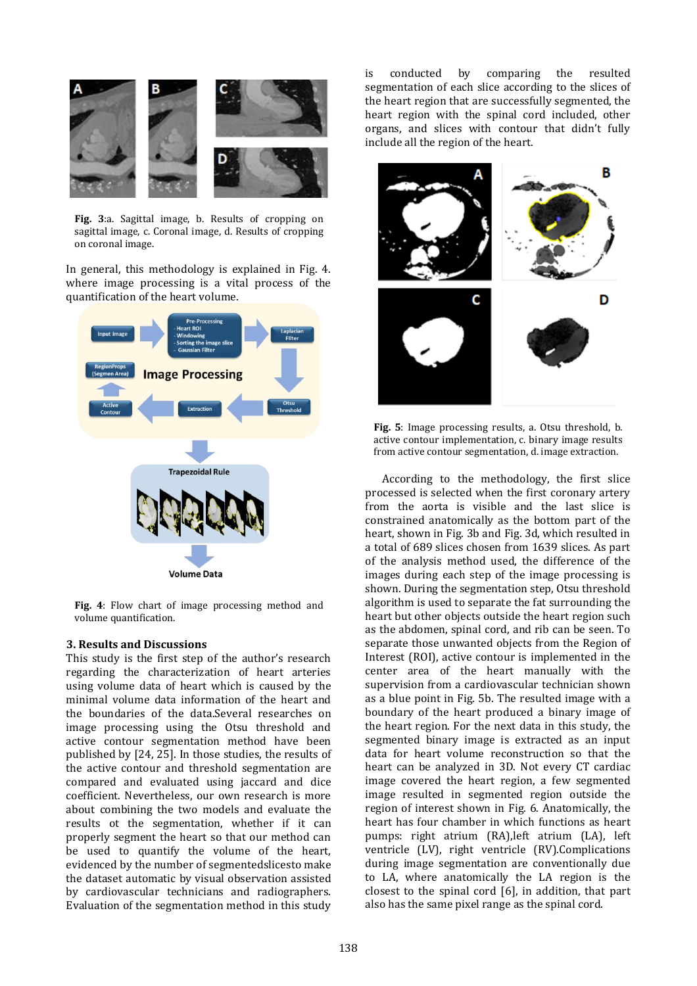

**Fig. 3**:a. Sagittal image, b. Results of cropping on sagittal image, c. Coronal image, d. Results of cropping on coronal image.

In general, this methodology is explained in Fig. 4. where image processing is a vital process of the quantification of the heart volume.



**Fig. 4**: Flow chart of image processing method and volume quantification.

## **3. Results and Discussions**

This study is the first step of the author's research regarding the characterization of heart arteries using volume data of heart which is caused by the minimal volume data information of the heart and the boundaries of the data.Several researches on image processing using the Otsu threshold and active contour segmentation method have been published by [24, 25]. In those studies, the results of the active contour and threshold segmentation are compared and evaluated using jaccard and dice coefficient. Nevertheless, our own research is more about combining the two models and evaluate the results ot the segmentation, whether if it can properly segment the heart so that our method can be used to quantify the volume of the heart, evidenced by the number of segmentedslicesto make the dataset automatic by visual observation assisted by cardiovascular technicians and radiographers. Evaluation of the segmentation method in this study

is conducted by comparing the resulted segmentation of each slice according to the slices of the heart region that are successfully segmented, the heart region with the spinal cord included, other organs, and slices with contour that didn't fully include all the region of the heart.



**Fig. 5**: Image processing results, a. Otsu threshold, b. active contour implementation, c. binary image results from active contour segmentation, d. image extraction.

According to the methodology, the first slice processed is selected when the first coronary artery from the aorta is visible and the last slice is constrained anatomically as the bottom part of the heart, shown in Fig. 3b and Fig. 3d, which resulted in a total of 689 slices chosen from 1639 slices. As part of the analysis method used, the difference of the images during each step of the image processing is shown. During the segmentation step, Otsu threshold algorithm is used to separate the fat surrounding the heart but other objects outside the heart region such as the abdomen, spinal cord, and rib can be seen. To separate those unwanted objects from the Region of Interest (ROI), active contour is implemented in the center area of the heart manually with the supervision from a cardiovascular technician shown as a blue point in Fig. 5b. The resulted image with a boundary of the heart produced a binary image of the heart region. For the next data in this study, the segmented binary image is extracted as an input data for heart volume reconstruction so that the heart can be analyzed in 3D. Not every CT cardiac image covered the heart region, a few segmented image resulted in segmented region outside the region of interest shown in Fig. 6. Anatomically, the heart has four chamber in which functions as heart pumps: right atrium (RA),left atrium (LA), left ventricle (LV), right ventricle (RV).Complications during image segmentation are conventionally due to LA, where anatomically the LA region is the closest to the spinal cord [6], in addition, that part also has the same pixel range as the spinal cord.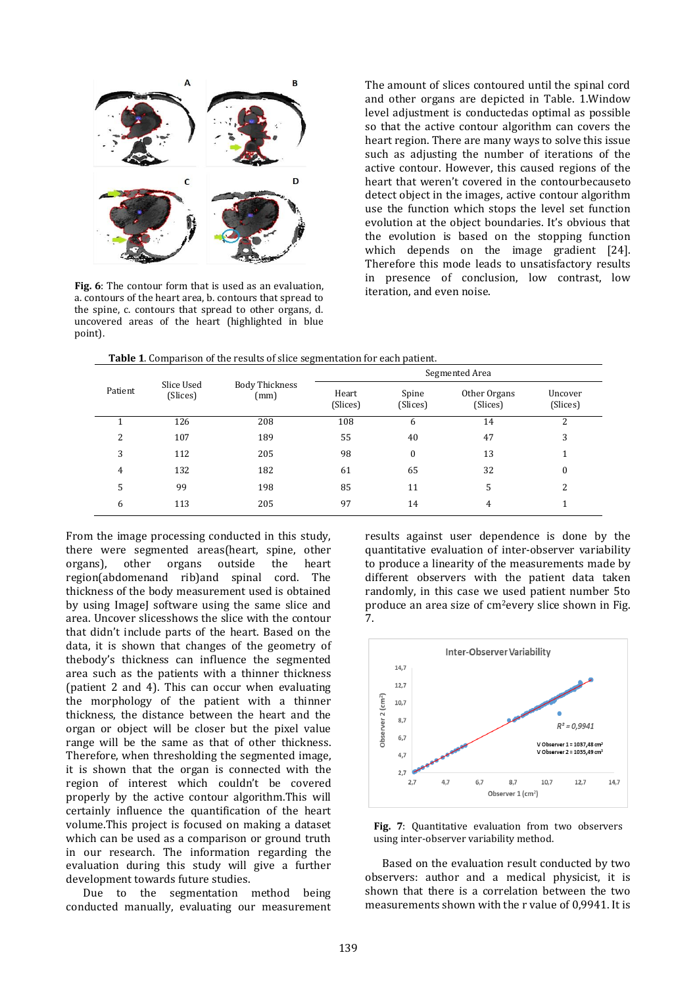

**Fig. 6**: The contour form that is used as an evaluation, a. contours of the heart area, b. contours that spread to the spine, c. contours that spread to other organs, d. uncovered areas of the heart (highlighted in blue point).

The amount of slices contoured until the spinal cord and other organs are depicted in Table. 1.Window level adjustment is conductedas optimal as possible so that the active contour algorithm can covers the heart region. There are many ways to solve this issue such as adjusting the number of iterations of the active contour. However, this caused regions of the heart that weren't covered in the contourbecauseto detect object in the images, active contour algorithm use the function which stops the level set function evolution at the object boundaries. It's obvious that the evolution is based on the stopping function which depends on the image gradient [24]. Therefore this mode leads to unsatisfactory results in presence of conclusion, low contrast, low iteration, and even noise.

**Table 1**. Comparison of the results of slice segmentation for each patient.

| Patient | Slice Used<br>(Slices) | Body Thickness<br>(mm) | Segmented Area    |                   |                          |                     |
|---------|------------------------|------------------------|-------------------|-------------------|--------------------------|---------------------|
|         |                        |                        | Heart<br>(Slices) | Spine<br>(Slices) | Other Organs<br>(Slices) | Uncover<br>(Slices) |
|         | 126                    | 208                    | 108               | 6                 | 14                       | 2                   |
| 2       | 107                    | 189                    | 55                | 40                | 47                       | 3                   |
| 3       | 112                    | 205                    | 98                | $\Omega$          | 13                       |                     |
| 4       | 132                    | 182                    | 61                | 65                | 32                       | 0                   |
| 5       | 99                     | 198                    | 85                | 11                | 5                        | 2                   |
| 6       | 113                    | 205                    | 97                | 14                | 4                        |                     |

From the image processing conducted in this study, there were segmented areas(heart, spine, other organs), other organs outside the heart region(abdomenand rib)and spinal cord. The thickness of the body measurement used is obtained by using ImageJ software using the same slice and area. Uncover slicesshows the slice with the contour that didn't include parts of the heart. Based on the data, it is shown that changes of the geometry of thebody's thickness can influence the segmented area such as the patients with a thinner thickness (patient 2 and 4). This can occur when evaluating the morphology of the patient with a thinner thickness, the distance between the heart and the organ or object will be closer but the pixel value range will be the same as that of other thickness. Therefore, when thresholding the segmented image, it is shown that the organ is connected with the region of interest which couldn't be covered properly by the active contour algorithm.This will certainly influence the quantification of the heart volume.This project is focused on making a dataset which can be used as a comparison or ground truth in our research. The information regarding the evaluation during this study will give a further development towards future studies.

Due to the segmentation method being conducted manually, evaluating our measurement results against user dependence is done by the quantitative evaluation of inter-observer variability to produce a linearity of the measurements made by different observers with the patient data taken randomly, in this case we used patient number 5to produce an area size of cm2every slice shown in Fig. 7.





Based on the evaluation result conducted by two observers: author and a medical physicist, it is shown that there is a correlation between the two measurements shown with the r value of 0,9941. It is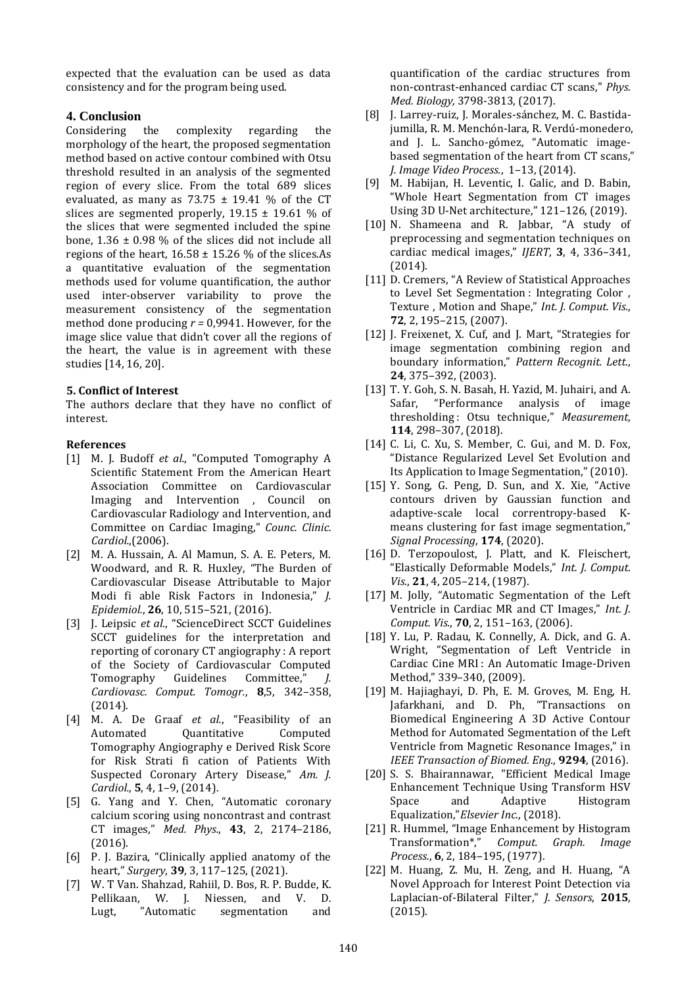expected that the evaluation can be used as data consistency and for the program being used.

## **4. Conclusion**

Considering the complexity regarding the morphology of the heart, the proposed segmentation method based on active contour combined with Otsu threshold resulted in an analysis of the segmented region of every slice. From the total 689 slices evaluated, as many as  $73.75 \pm 19.41$  % of the CT slices are segmented properly,  $19.15 \pm 19.61$  % of the slices that were segmented included the spine bone,  $1.36 \pm 0.98$  % of the slices did not include all regions of the heart,  $16.58 \pm 15.26$  % of the slices.As a quantitative evaluation of the segmentation methods used for volume quantification, the author used inter-observer variability to prove the measurement consistency of the segmentation method done producing *r =* 0,9941. However, for the image slice value that didn't cover all the regions of the heart, the value is in agreement with these studies [14, 16, 20].

## **5. Conflict of Interest**

The authors declare that they have no conflict of interest.

## **References**

- [1] M. J. Budoff *et al.*, "Computed Tomography A Scientific Statement From the American Heart Association Committee on Cardiovascular Imaging and Intervention , Council on Cardiovascular Radiology and Intervention, and Committee on Cardiac Imaging," *Counc. Clinic. Cardiol.*,(2006).
- [2] M. A. Hussain, A. Al Mamun, S. A. E. Peters, M. Woodward, and R. R. Huxley, "The Burden of Cardiovascular Disease Attributable to Major Modi fi able Risk Factors in Indonesia," *J. Epidemiol.*, **26**, 10, 515–521, (2016).
- [3] J. Leipsic *et al.*, "ScienceDirect SCCT Guidelines SCCT guidelines for the interpretation and reporting of coronary CT angiography : A report of the Society of Cardiovascular Computed Tomography Guidelines Committee," *J. Cardiovasc. Comput. Tomogr.*, **8**,5, 342–358, (2014).
- [4] M. A. De Graaf *et al.*, "Feasibility of an Automated Quantitative Computed Tomography Angiography e Derived Risk Score for Risk Strati fi cation of Patients With Suspected Coronary Artery Disease," *Am. J. Cardiol.*, **5**, 4, 1–9, (2014).
- [5] G. Yang and Y. Chen, "Automatic coronary calcium scoring using noncontrast and contrast CT images," *Med. Phys.*, **43**, 2, 2174–2186, (2016).
- [6] P. J. Bazira, "Clinically applied anatomy of the heart," *Surgery*, **39**, 3, 117–125, (2021).
- [7] W. T Van. Shahzad, Rahiil, D. Bos, R. P. Budde, K. Pellikaan, W. J. Niessen, and V. D. Lugt, "Automatic segmentation and

quantification of the cardiac structures from non-contrast-enhanced cardiac CT scans," *Phys. Med. Biology,* 3798-3813, (2017).

- [8] J. Larrey-ruiz, J. Morales-sánchez, M. C. Bastidajumilla, R. M. Menchón-lara, R. Verdú-monedero, and J. L. Sancho-gómez, "Automatic imagebased segmentation of the heart from CT scans," *J. Image Video Process.*, 1–13, (2014).
- [9] M. Habijan, H. Leventic, I. Galic, and D. Babin, "Whole Heart Segmentation from CT images Using 3D U-Net architecture," 121–126, (2019).
- [10] N. Shameena and R. Jabbar, "A study of preprocessing and segmentation techniques on cardiac medical images," *IJERT*, **3**, 4, 336–341, (2014).
- [11] D. Cremers, "A Review of Statistical Approaches to Level Set Segmentation : Integrating Color , Texture , Motion and Shape," *Int. J. Comput. Vis.*, **72**, 2, 195–215, (2007).
- [12] J. Freixenet, X. Cuf, and J. Mart, "Strategies for image segmentation combining region and boundary information," *Pattern Recognit. Lett.*, **24**, 375–392, (2003).
- [13] T. Y. Goh, S. N. Basah, H. Yazid, M. Juhairi, and A. Safar, "Performance analysis of image thresholding : Otsu technique," *Measurement*, **114**, 298–307, (2018).
- [14] C. Li, C. Xu, S. Member, C. Gui, and M. D. Fox, "Distance Regularized Level Set Evolution and Its Application to Image Segmentation," (2010).
- [15] Y. Song, G. Peng, D. Sun, and X. Xie, "Active contours driven by Gaussian function and adaptive-scale local correntropy-based Kmeans clustering for fast image segmentation," *Signal Processing*, **174**, (2020).
- [16] D. Terzopoulost, J. Platt, and K. Fleischert, "Elastically Deformable Models," *Int. J. Comput. Vis.*, **21**, 4, 205–214, (1987).
- [17] M. Jolly, "Automatic Segmentation of the Left Ventricle in Cardiac MR and CT Images," *Int. J. Comput. Vis.*, **70**, 2, 151–163, (2006).
- [18] Y. Lu, P. Radau, K. Connelly, A. Dick, and G. A. Wright, "Segmentation of Left Ventricle in Cardiac Cine MRI : An Automatic Image-Driven Method," 339–340, (2009).
- [19] M. Hajiaghayi, D. Ph, E. M. Groves, M. Eng, H. Jafarkhani, and D. Ph, "Transactions on Biomedical Engineering A 3D Active Contour Method for Automated Segmentation of the Left Ventricle from Magnetic Resonance Images," in *IEEE Transaction of Biomed. Eng.*, **9294**, (2016).
- [20] S. S. Bhairannawar, "Efficient Medical Image Enhancement Technique Using Transform HSV Space and Adaptive Histogram Equalization,"*Elsevier Inc.*, (2018).
- [21] R. Hummel, "Image Enhancement by Histogram Transformation\*," *Comput. Graph. Image Process.*, **6**, 2, 184–195, (1977).
- [22] M. Huang, Z. Mu, H. Zeng, and H. Huang, "A Novel Approach for Interest Point Detection via Laplacian-of-Bilateral Filter," *J. Sensors*, **2015**, (2015).